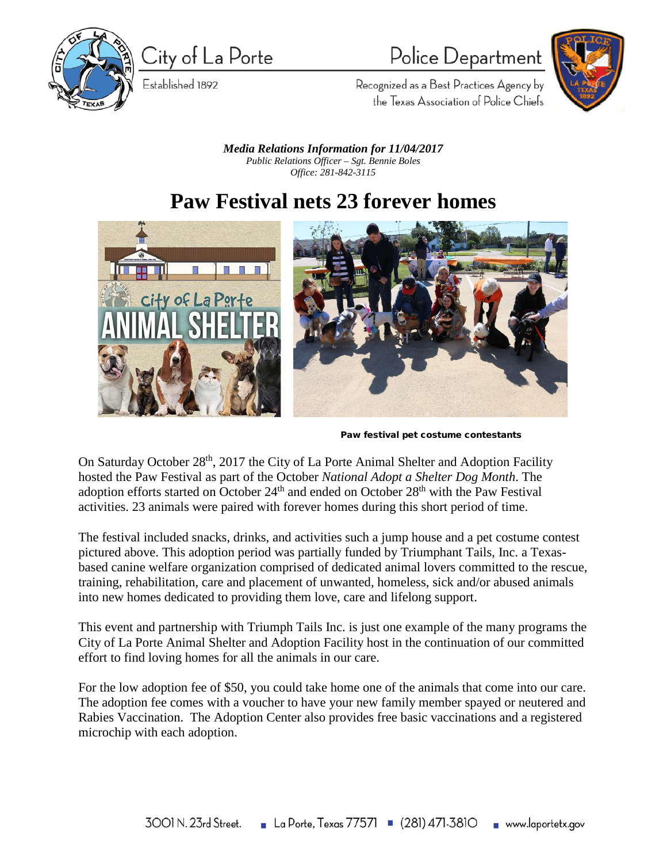

City of La Porte

Established 1892

## Police Department



Recognized as a Best Practices Agency by the Texas Association of Police Chiefs

*Media Relations Information for 11/04/2017 Public Relations Officer – Sgt. Bennie Boles Office: 281-842-3115*

## **Paw Festival nets 23 forever homes**



Paw festival pet costume contestants

On Saturday October 28<sup>th</sup>, 2017 the City of La Porte Animal Shelter and Adoption Facility hosted the Paw Festival as part of the October *National Adopt a Shelter Dog Month*. The adoption efforts started on October  $24<sup>th</sup>$  and ended on October  $28<sup>th</sup>$  with the Paw Festival activities. 23 animals were paired with forever homes during this short period of time.

The festival included snacks, drinks, and activities such a jump house and a pet costume contest pictured above. This adoption period was partially funded by Triumphant Tails, Inc. a Texasbased canine welfare organization comprised of dedicated animal lovers committed to the rescue, training, rehabilitation, care and placement of unwanted, homeless, sick and/or abused animals into new homes dedicated to providing them love, care and lifelong support.

This event and partnership with Triumph Tails Inc. is just one example of the many programs the City of La Porte Animal Shelter and Adoption Facility host in the continuation of our committed effort to find loving homes for all the animals in our care.

For the low adoption fee of \$50, you could take home one of the animals that come into our care. The adoption fee comes with a voucher to have your new family member spayed or neutered and Rabies Vaccination. The Adoption Center also provides free basic vaccinations and a registered microchip with each adoption.